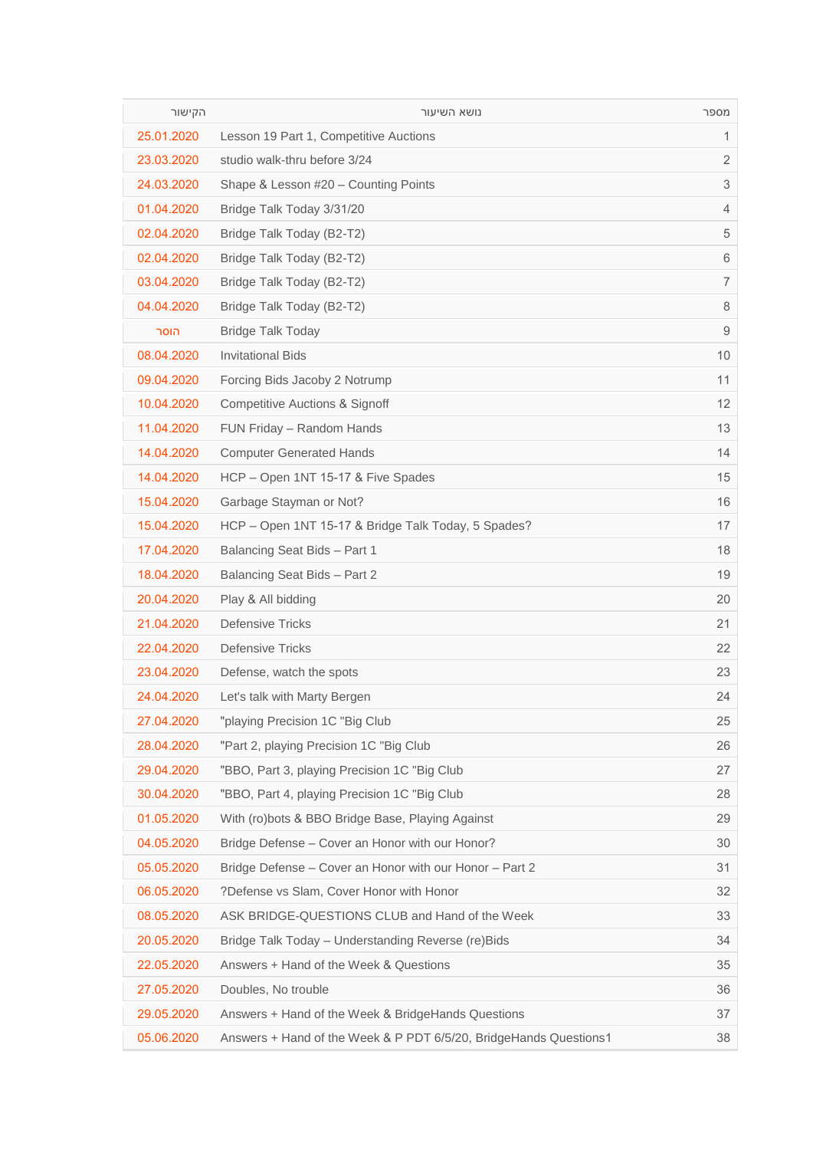| הקישור     | נושא השיעור                                                       | מספר         |
|------------|-------------------------------------------------------------------|--------------|
| 25.01.2020 | Lesson 19 Part 1, Competitive Auctions                            | $\mathbf{1}$ |
| 23.03.2020 | studio walk-thru before 3/24                                      | 2            |
| 24.03.2020 | Shape & Lesson #20 - Counting Points                              | 3            |
| 01.04.2020 | Bridge Talk Today 3/31/20                                         | 4            |
| 02.04.2020 | Bridge Talk Today (B2-T2)                                         | 5            |
| 02.04.2020 | Bridge Talk Today (B2-T2)                                         | 6            |
| 03.04.2020 | Bridge Talk Today (B2-T2)                                         | 7            |
| 04.04.2020 | Bridge Talk Today (B2-T2)                                         | 8            |
| הוסר       | <b>Bridge Talk Today</b>                                          | 9            |
| 08.04.2020 | <b>Invitational Bids</b>                                          | 10           |
| 09.04.2020 | Forcing Bids Jacoby 2 Notrump                                     | 11           |
| 10.04.2020 | <b>Competitive Auctions &amp; Signoff</b>                         | 12           |
| 11.04.2020 | FUN Friday - Random Hands                                         | 13           |
| 14.04.2020 | <b>Computer Generated Hands</b>                                   | 14           |
| 14.04.2020 | HCP - Open 1NT 15-17 & Five Spades                                | 15           |
| 15.04.2020 | Garbage Stayman or Not?                                           | 16           |
| 15.04.2020 | HCP - Open 1NT 15-17 & Bridge Talk Today, 5 Spades?               | 17           |
| 17.04.2020 | Balancing Seat Bids - Part 1                                      | 18           |
| 18.04.2020 | Balancing Seat Bids - Part 2                                      | 19           |
| 20.04.2020 | Play & All bidding                                                | 20           |
| 21.04.2020 | <b>Defensive Tricks</b>                                           | 21           |
| 22.04.2020 | <b>Defensive Tricks</b>                                           | 22           |
| 23.04.2020 | Defense, watch the spots                                          | 23           |
| 24.04.2020 | Let's talk with Marty Bergen                                      | 24           |
| 27.04.2020 | "playing Precision 1C "Big Club                                   | 25           |
| 28.04.2020 | "Part 2, playing Precision 1C "Big Club"                          | 26           |
| 29.04.2020 | "BBO, Part 3, playing Precision 1C "Big Club                      | 27           |
| 30.04.2020 | "BBO, Part 4, playing Precision 1C "Big Club"                     | 28           |
| 01.05.2020 | With (ro)bots & BBO Bridge Base, Playing Against                  | 29           |
| 04.05.2020 | Bridge Defense - Cover an Honor with our Honor?                   | 30           |
| 05.05.2020 | Bridge Defense - Cover an Honor with our Honor - Part 2           | 31           |
| 06.05.2020 | ?Defense vs Slam, Cover Honor with Honor                          | 32           |
| 08.05.2020 | ASK BRIDGE-QUESTIONS CLUB and Hand of the Week                    | 33           |
| 20.05.2020 | Bridge Talk Today - Understanding Reverse (re) Bids               | 34           |
| 22.05.2020 | Answers + Hand of the Week & Questions                            | 35           |
| 27.05.2020 | Doubles, No trouble                                               | 36           |
| 29.05.2020 | Answers + Hand of the Week & BridgeHands Questions                | 37           |
| 05.06.2020 | Answers + Hand of the Week & P PDT 6/5/20, BridgeHands Questions1 | 38           |